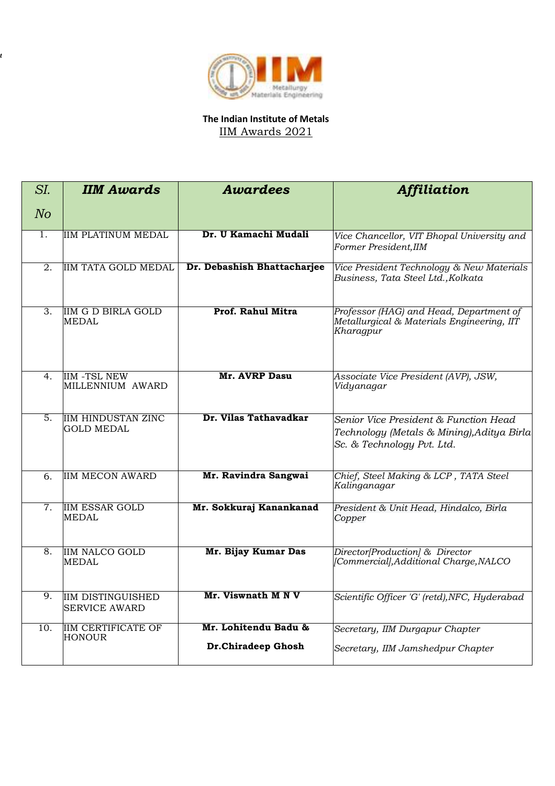

*t*

## **The Indian Institute of Metals** IIM Awards 2021

| SI.              | <b>IIM Awards</b>                                | <b>Awardees</b>                            | <b>Affiliation</b>                                                                                                |  |
|------------------|--------------------------------------------------|--------------------------------------------|-------------------------------------------------------------------------------------------------------------------|--|
| N <sub>O</sub>   |                                                  |                                            |                                                                                                                   |  |
| 1 <sub>1</sub>   | <b>IIM PLATINUM MEDAL</b>                        | Dr. U Kamachi Mudali                       | Vice Chancellor, VIT Bhopal University and<br>Former President, IIM                                               |  |
| 2.               | <b>IIM TATA GOLD MEDAL</b>                       | Dr. Debashish Bhattacharjee                | Vice President Technology & New Materials<br>Business, Tata Steel Ltd., Kolkata                                   |  |
| 3.               | <b>IIM G D BIRLA GOLD</b><br><b>MEDAL</b>        | Prof. Rahul Mitra                          | Professor (HAG) and Head, Department of<br>Metallurgical & Materials Engineering, IIT<br>Kharagpur                |  |
| 4 <sub>1</sub>   | <b>IIM -TSL NEW</b><br>MILLENNIUM AWARD          | <b>Mr. AVRP Dasu</b>                       | Associate Vice President (AVP), JSW,<br>Vidyanagar                                                                |  |
| 5.               | <b>IIM HINDUSTAN ZINC</b><br>GOLD MEDAL          | Dr. Vilas Tathavadkar                      | Senior Vice President & Function Head<br>Technology (Metals & Mining), Aditya Birla<br>Sc. & Technology Pvt. Ltd. |  |
| 6.               | <b>IIM MECON AWARD</b>                           | Mr. Ravindra Sangwai                       | Chief, Steel Making & LCP, TATA Steel<br>Kalinganagar                                                             |  |
| $\overline{7}$ . | <b>IIM ESSAR GOLD</b><br><b>MEDAL</b>            | Mr. Sokkuraj Kanankanad                    | President & Unit Head, Hindalco, Birla<br>Copper                                                                  |  |
| 8.               | <b>IIM NALCO GOLD</b><br><b>MEDAL</b>            | Mr. Bijay Kumar Das                        | Director [Production] & Director<br>[Commercial], Additional Charge, NALCO                                        |  |
| 9.               | <b>IIM DISTINGUISHED</b><br><b>SERVICE AWARD</b> | Mr. Viswnath M N V                         | Scientific Officer 'G' (retd), NFC, Hyderabad                                                                     |  |
| 10.              | <b>IIM CERTIFICATE OF</b><br><b>HONOUR</b>       | Mr. Lohitendu Badu &<br>Dr.Chiradeep Ghosh | Secretary, IIM Durgapur Chapter<br>Secretary, IIM Jamshedpur Chapter                                              |  |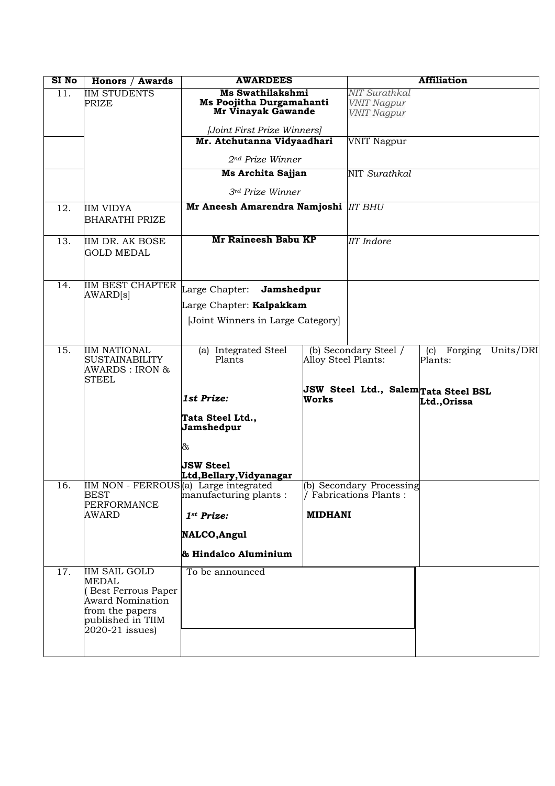| SI No             | Honors / Awards                                                                                                                              | <b>AWARDEES</b>                                                    |                                              | <b>Affiliation</b>                                |                                                     |           |
|-------------------|----------------------------------------------------------------------------------------------------------------------------------------------|--------------------------------------------------------------------|----------------------------------------------|---------------------------------------------------|-----------------------------------------------------|-----------|
| $\overline{11}$ . | <b>IIM STUDENTS</b><br><b>PRIZE</b>                                                                                                          | Ms Swathilakshmi<br>Ms Poojitha Durgamahanti<br>Mr Vinayak Gawande |                                              | NIT Surathkal<br>VNIT Nagpur<br>VNIT Nagpur       |                                                     |           |
|                   |                                                                                                                                              | [Joint First Prize Winners]                                        |                                              |                                                   |                                                     |           |
|                   |                                                                                                                                              | Mr. Atchutanna Vidyaadhari                                         |                                              | <b>VNIT Nagpur</b>                                |                                                     |           |
|                   |                                                                                                                                              | 2nd Prize Winner                                                   |                                              |                                                   |                                                     |           |
|                   |                                                                                                                                              | Ms Archita Sajjan                                                  |                                              | NIT Surathkal                                     |                                                     |           |
|                   |                                                                                                                                              | 3rd Prize Winner                                                   |                                              |                                                   |                                                     |           |
| 12.               | <b>IIM VIDYA</b><br><b>BHARATHI PRIZE</b>                                                                                                    | Mr Aneesh Amarendra Namjoshi  IIT BHU                              |                                              |                                                   |                                                     |           |
| 13.               | IIM DR. AK BOSE<br><b>GOLD MEDAL</b>                                                                                                         | Mr Raineesh Babu KP                                                |                                              | <b>IIT</b> Indore                                 |                                                     |           |
| 14.               | <b>IIM BEST CHAPTER</b><br>AWARD[s]                                                                                                          | Large Chapter:<br>Jamshedpur<br>Large Chapter: Kalpakkam           |                                              |                                                   |                                                     |           |
|                   |                                                                                                                                              | [Joint Winners in Large Category]                                  |                                              |                                                   |                                                     |           |
| $\overline{15}$ . | <b>IIM NATIONAL</b><br><b>SUSTAINABILITY</b><br>AWARDS : IRON &<br><b>STEEL</b>                                                              | (a) Integrated Steel<br>Plants                                     | (b) Secondary Steel /<br>Alloy Steel Plants: |                                                   | Forging<br>(c)<br>Plants:                           | Units/DRI |
|                   |                                                                                                                                              | 1st Prize:                                                         | Works                                        |                                                   | JSW Steel Ltd., SalemTata Steel BSL<br>Ltd., Orissa |           |
|                   |                                                                                                                                              | Tata Steel Ltd.,<br>Jamshedpur                                     |                                              |                                                   |                                                     |           |
|                   |                                                                                                                                              | &                                                                  |                                              |                                                   |                                                     |           |
|                   |                                                                                                                                              | <b>JSW Steel</b><br>Ltd, Bellary, Vidyanagar                       |                                              |                                                   |                                                     |           |
| 16.               | IIM NON - FERROUS(a) Large integrated<br>BEST<br><b>PERFORMANCE</b>                                                                          | manufacturing plants :                                             |                                              | (b) Secondary Processing<br>Fabrications Plants : |                                                     |           |
|                   | AWARD                                                                                                                                        | 1st Prize:                                                         | <b>MIDHANI</b>                               |                                                   |                                                     |           |
|                   |                                                                                                                                              | NALCO, Angul                                                       |                                              |                                                   |                                                     |           |
|                   |                                                                                                                                              | & Hindalco Aluminium                                               |                                              |                                                   |                                                     |           |
| 17.               | <b>IIM SAIL GOLD</b><br><b>MEDAL</b><br>(Best Ferrous Paper<br>Award Nomination<br>from the papers<br>published in TIIM<br>$2020-21$ issues) | To be announced                                                    |                                              |                                                   |                                                     |           |
|                   |                                                                                                                                              |                                                                    |                                              |                                                   |                                                     |           |